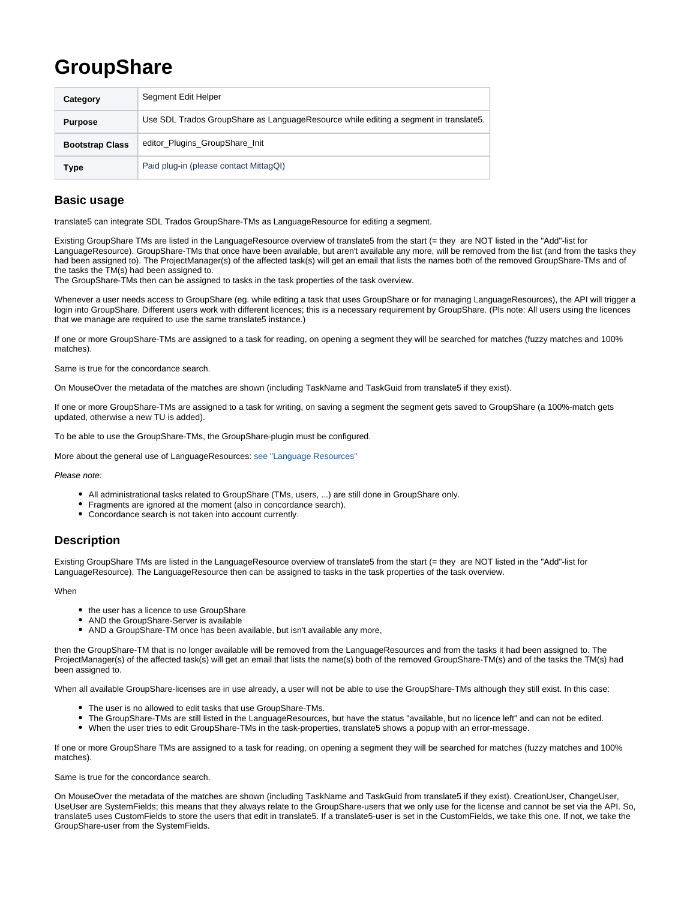## **GroupShare**

| Category               | Segment Edit Helper                                                                  |  |
|------------------------|--------------------------------------------------------------------------------------|--|
| <b>Purpose</b>         | Use SDL Trados GroupShare as LanguageResource while editing a segment in translate5. |  |
| <b>Bootstrap Class</b> | editor Plugins GroupShare Init                                                       |  |
| Type                   | Paid plug-in (please contact MittagQI)                                               |  |

## **Basic usage**

translate5 can integrate SDL Trados GroupShare-TMs as LanguageResource for editing a segment.

Existing GroupShare TMs are listed in the LanguageResource overview of translate5 from the start (= they are NOT listed in the "Add"-list for LanguageResource). GroupShare-TMs that once have been available, but aren't available any more, will be removed from the list (and from the tasks they had been assigned to). The ProjectManager(s) of the affected task(s) will get an email that lists the names both of the removed GroupShare-TMs and of the tasks the TM(s) had been assigned to.

The GroupShare-TMs then can be assigned to tasks in the task properties of the task overview.

Whenever a user needs access to GroupShare (eg. while editing a task that uses GroupShare or for managing LanguageResources), the API will trigger a login into GroupShare. Different users work with different licences; this is a necessary requirement by GroupShare. (Pls note: All users using the licences that we manage are required to use the same translate5 instance.)

If one or more GroupShare-TMs are assigned to a task for reading, on opening a segment they will be searched for matches (fuzzy matches and 100% matches).

Same is true for the concordance search.

On MouseOver the metadata of the matches are shown (including TaskName and TaskGuid from translate5 if they exist).

If one or more GroupShare-TMs are assigned to a task for writing, on saving a segment the segment gets saved to GroupShare (a 100%-match gets updated, otherwise a new TU is added).

To be able to use the GroupShare-TMs, the GroupShare-plugin must be configured.

More about the general use of LanguageResources: [see "Language Resources"](https://confluence.translate5.net/display/TAD/LanguageResources%3A+Instance)

Please note:

- All administrational tasks related to GroupShare (TMs, users, ...) are still done in GroupShare only.
- Fragments are ignored at the moment (also in concordance search).
- Concordance search is not taken into account currently.

## **Description**

Existing GroupShare TMs are listed in the LanguageResource overview of translate5 from the start (= they are NOT listed in the "Add"-list for LanguageResource). The LanguageResource then can be assigned to tasks in the task properties of the task overview.

**When** 

- the user has a licence to use GroupShare
- AND the GroupShare-Server is available
- AND a GroupShare-TM once has been available, but isn't available any more,

then the GroupShare-TM that is no longer available will be removed from the LanguageResources and from the tasks it had been assigned to. The ProjectManager(s) of the affected task(s) will get an email that lists the name(s) both of the removed GroupShare-TM(s) and of the tasks the TM(s) had been assigned to.

When all available GroupShare-licenses are in use already, a user will not be able to use the GroupShare-TMs although they still exist. In this case:

- The user is no allowed to edit tasks that use GroupShare-TMs.
- The GroupShare-TMs are still listed in the LanguageResources, but have the status "available, but no licence left" and can not be edited.
- When the user tries to edit GroupShare-TMs in the task-properties, translate5 shows a popup with an error-message.

If one or more GroupShare TMs are assigned to a task for reading, on opening a segment they will be searched for matches (fuzzy matches and 100% matches).

Same is true for the concordance search.

On MouseOver the metadata of the matches are shown (including TaskName and TaskGuid from translate5 if they exist). CreationUser, ChangeUser, UseUser are SystemFields; this means that they always relate to the GroupShare-users that we only use for the license and cannot be set via the API. So, translate5 uses CustomFields to store the users that edit in translate5. If a translate5-user is set in the CustomFields, we take this one. If not, we take the GroupShare-user from the SystemFields.